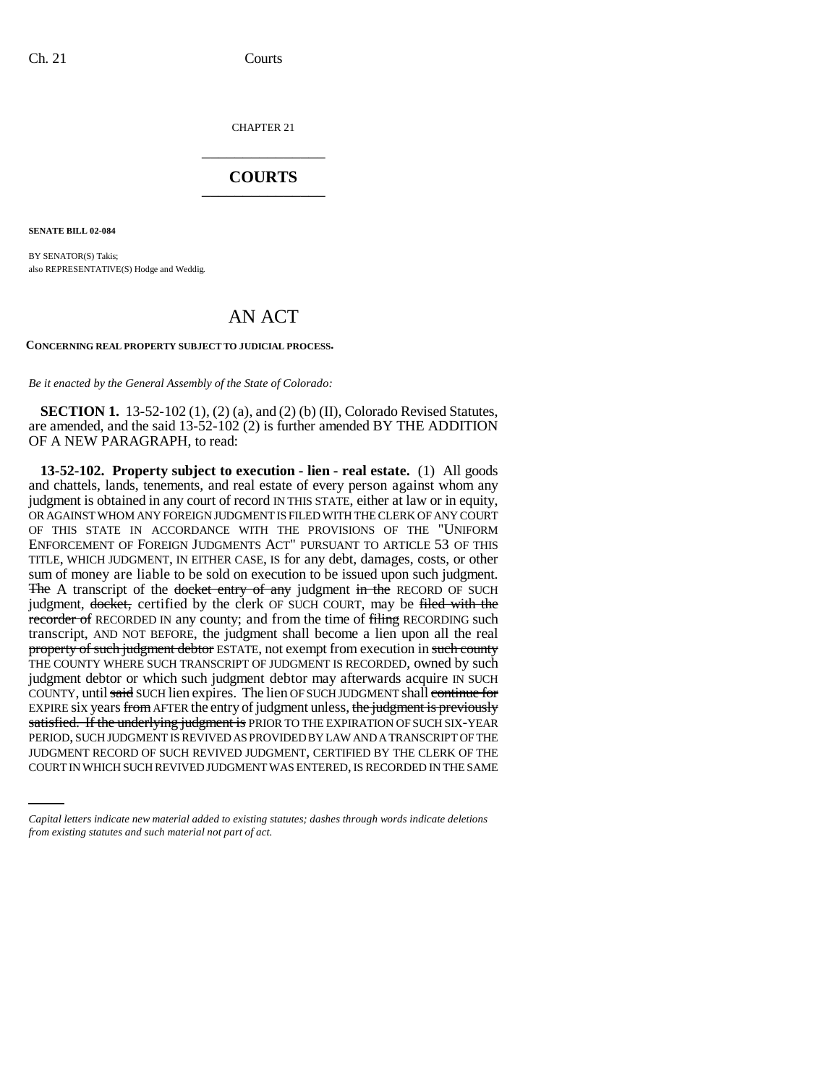CHAPTER 21 \_\_\_\_\_\_\_\_\_\_\_\_\_\_\_

## **COURTS** \_\_\_\_\_\_\_\_\_\_\_\_\_\_\_

**SENATE BILL 02-084**

BY SENATOR(S) Takis; also REPRESENTATIVE(S) Hodge and Weddig.

# AN ACT

#### **CONCERNING REAL PROPERTY SUBJECT TO JUDICIAL PROCESS.**

*Be it enacted by the General Assembly of the State of Colorado:*

**SECTION 1.** 13-52-102 (1), (2) (a), and (2) (b) (II), Colorado Revised Statutes, are amended, and the said 13-52-102 (2) is further amended BY THE ADDITION OF A NEW PARAGRAPH, to read:

PERIOD, SUCH JUDGMENT IS REVIVED AS PROVIDED BY LAW AND A TRANSCRIPT OF THE **13-52-102. Property subject to execution - lien - real estate.** (1) All goods and chattels, lands, tenements, and real estate of every person against whom any judgment is obtained in any court of record IN THIS STATE, either at law or in equity, OR AGAINST WHOM ANY FOREIGN JUDGMENT IS FILED WITH THE CLERK OF ANY COURT OF THIS STATE IN ACCORDANCE WITH THE PROVISIONS OF THE "UNIFORM ENFORCEMENT OF FOREIGN JUDGMENTS ACT" PURSUANT TO ARTICLE 53 OF THIS TITLE, WHICH JUDGMENT, IN EITHER CASE, IS for any debt, damages, costs, or other sum of money are liable to be sold on execution to be issued upon such judgment. The A transcript of the docket entry of any judgment in the RECORD OF SUCH judgment, docket, certified by the clerk OF SUCH COURT, may be filed with the recorder of RECORDED IN any county; and from the time of filing RECORDING such transcript, AND NOT BEFORE, the judgment shall become a lien upon all the real property of such judgment debtor ESTATE, not exempt from execution in such county THE COUNTY WHERE SUCH TRANSCRIPT OF JUDGMENT IS RECORDED, owned by such judgment debtor or which such judgment debtor may afterwards acquire IN SUCH COUNTY, until said SUCH lien expires. The lien OF SUCH JUDGMENT shall continue for EXPIRE six years from AFTER the entry of judgment unless, the judgment is previously satisfied. If the underlying judgment is PRIOR TO THE EXPIRATION OF SUCH SIX-YEAR JUDGMENT RECORD OF SUCH REVIVED JUDGMENT, CERTIFIED BY THE CLERK OF THE COURT IN WHICH SUCH REVIVED JUDGMENT WAS ENTERED, IS RECORDED IN THE SAME

*Capital letters indicate new material added to existing statutes; dashes through words indicate deletions from existing statutes and such material not part of act.*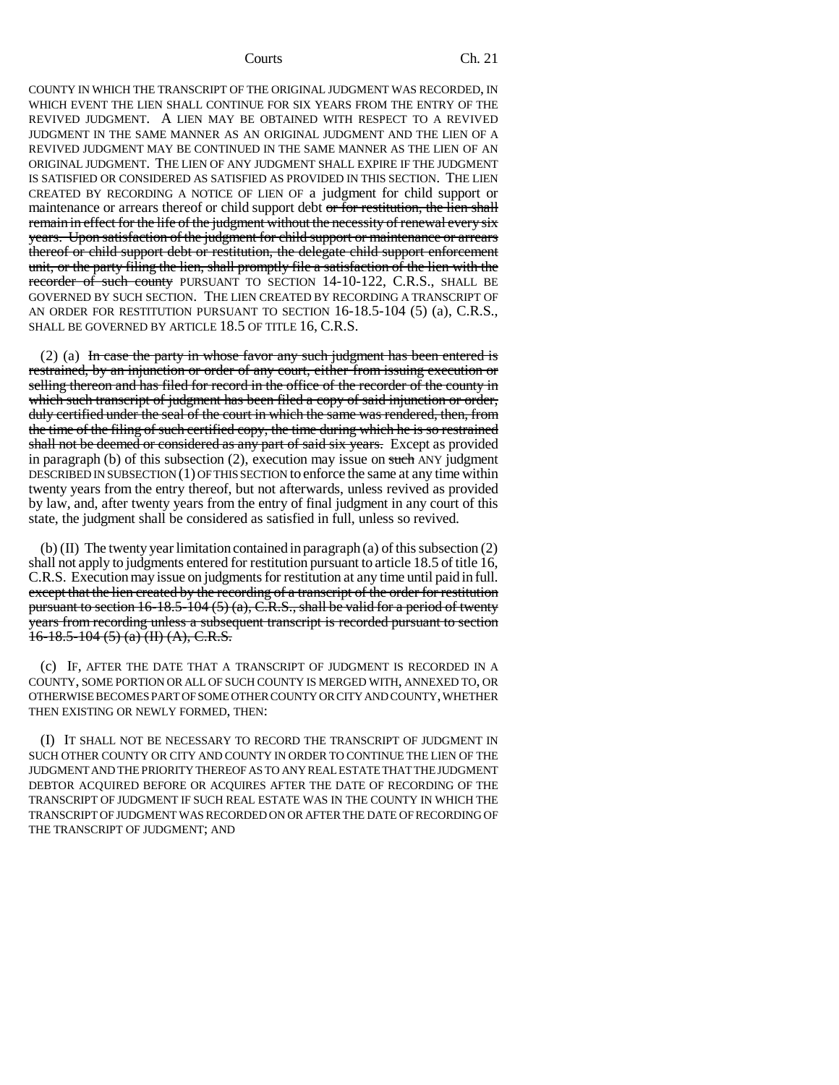#### Courts Ch. 21

COUNTY IN WHICH THE TRANSCRIPT OF THE ORIGINAL JUDGMENT WAS RECORDED, IN WHICH EVENT THE LIEN SHALL CONTINUE FOR SIX YEARS FROM THE ENTRY OF THE REVIVED JUDGMENT. A LIEN MAY BE OBTAINED WITH RESPECT TO A REVIVED JUDGMENT IN THE SAME MANNER AS AN ORIGINAL JUDGMENT AND THE LIEN OF A REVIVED JUDGMENT MAY BE CONTINUED IN THE SAME MANNER AS THE LIEN OF AN ORIGINAL JUDGMENT. THE LIEN OF ANY JUDGMENT SHALL EXPIRE IF THE JUDGMENT IS SATISFIED OR CONSIDERED AS SATISFIED AS PROVIDED IN THIS SECTION. THE LIEN CREATED BY RECORDING A NOTICE OF LIEN OF a judgment for child support or maintenance or arrears thereof or child support debt or for restitution, the lien shall remain in effect for the life of the judgment without the necessity of renewal every six years. Upon satisfaction of the judgment for child support or maintenance or arrears thereof or child support debt or restitution, the delegate child support enforcement unit, or the party filing the lien, shall promptly file a satisfaction of the lien with the recorder of such county PURSUANT TO SECTION 14-10-122, C.R.S., SHALL BE GOVERNED BY SUCH SECTION. THE LIEN CREATED BY RECORDING A TRANSCRIPT OF AN ORDER FOR RESTITUTION PURSUANT TO SECTION 16-18.5-104 (5) (a), C.R.S., SHALL BE GOVERNED BY ARTICLE 18.5 OF TITLE 16, C.R.S.

 $(2)$  (a) In case the party in whose favor any such judgment has been entered is restrained, by an injunction or order of any court, either from issuing execution or selling thereon and has filed for record in the office of the recorder of the county in which such transcript of judgment has been filed a copy of said injunction or order, duly certified under the seal of the court in which the same was rendered, then, from the time of the filing of such certified copy, the time during which he is so restrained shall not be deemed or considered as any part of said six years. Except as provided in paragraph (b) of this subsection  $(2)$ , execution may issue on such ANY judgment DESCRIBED IN SUBSECTION  $(1)$  OF THIS SECTION to enforce the same at any time within twenty years from the entry thereof, but not afterwards, unless revived as provided by law, and, after twenty years from the entry of final judgment in any court of this state, the judgment shall be considered as satisfied in full, unless so revived.

(b) (II) The twenty year limitation contained in paragraph (a) of this subsection (2) shall not apply to judgments entered for restitution pursuant to article 18.5 of title 16, C.R.S. Execution may issue on judgments for restitution at any time until paid in full. except that the lien created by the recording of a transcript of the order for restitution pursuant to section  $16-18.5-104(5)(a)$ , C.R.S., shall be valid for a period of twenty years from recording unless a subsequent transcript is recorded pursuant to section  $16-18.5-104(5)$  (a) (II) (A), C.R.S.

(c) IF, AFTER THE DATE THAT A TRANSCRIPT OF JUDGMENT IS RECORDED IN A COUNTY, SOME PORTION OR ALL OF SUCH COUNTY IS MERGED WITH, ANNEXED TO, OR OTHERWISE BECOMES PART OF SOME OTHER COUNTY OR CITY AND COUNTY, WHETHER THEN EXISTING OR NEWLY FORMED, THEN:

(I) IT SHALL NOT BE NECESSARY TO RECORD THE TRANSCRIPT OF JUDGMENT IN SUCH OTHER COUNTY OR CITY AND COUNTY IN ORDER TO CONTINUE THE LIEN OF THE JUDGMENT AND THE PRIORITY THEREOF AS TO ANY REAL ESTATE THAT THE JUDGMENT DEBTOR ACQUIRED BEFORE OR ACQUIRES AFTER THE DATE OF RECORDING OF THE TRANSCRIPT OF JUDGMENT IF SUCH REAL ESTATE WAS IN THE COUNTY IN WHICH THE TRANSCRIPT OF JUDGMENT WAS RECORDED ON OR AFTER THE DATE OF RECORDING OF THE TRANSCRIPT OF JUDGMENT; AND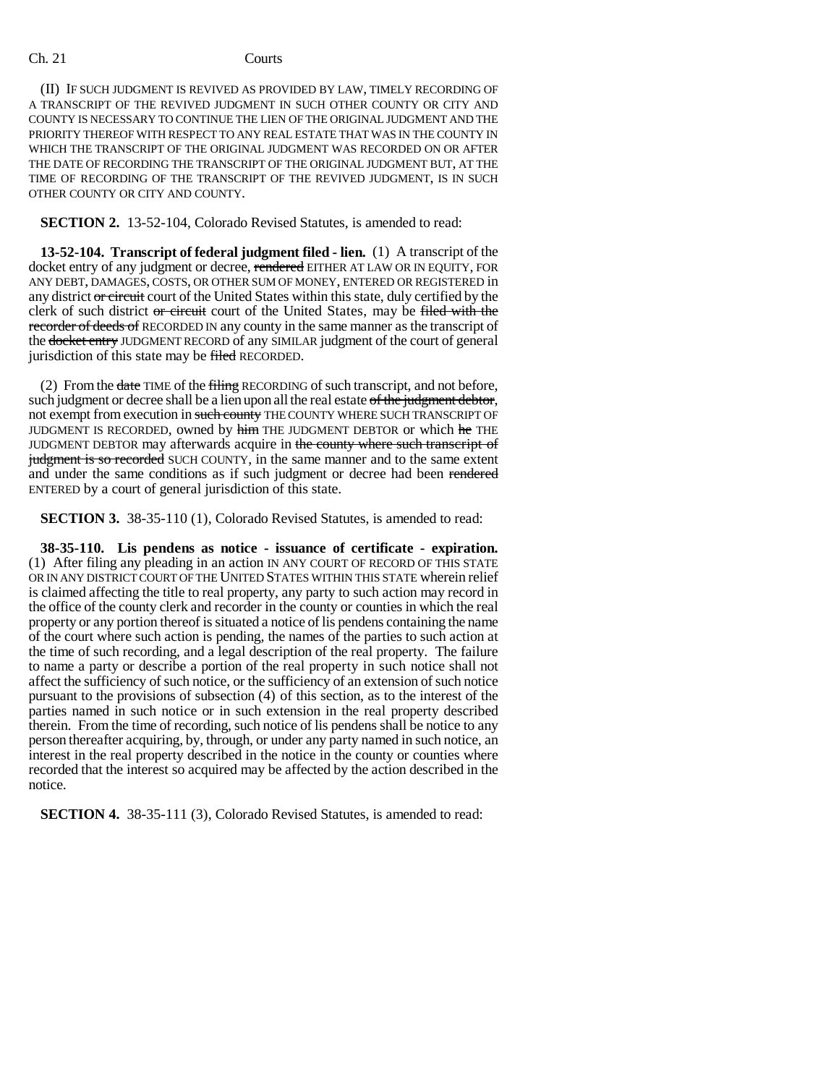#### Ch. 21 Courts

(II) IF SUCH JUDGMENT IS REVIVED AS PROVIDED BY LAW, TIMELY RECORDING OF A TRANSCRIPT OF THE REVIVED JUDGMENT IN SUCH OTHER COUNTY OR CITY AND COUNTY IS NECESSARY TO CONTINUE THE LIEN OF THE ORIGINAL JUDGMENT AND THE PRIORITY THEREOF WITH RESPECT TO ANY REAL ESTATE THAT WAS IN THE COUNTY IN WHICH THE TRANSCRIPT OF THE ORIGINAL JUDGMENT WAS RECORDED ON OR AFTER THE DATE OF RECORDING THE TRANSCRIPT OF THE ORIGINAL JUDGMENT BUT, AT THE TIME OF RECORDING OF THE TRANSCRIPT OF THE REVIVED JUDGMENT, IS IN SUCH OTHER COUNTY OR CITY AND COUNTY.

### **SECTION 2.** 13-52-104, Colorado Revised Statutes, is amended to read:

**13-52-104. Transcript of federal judgment filed - lien.** (1) A transcript of the docket entry of any judgment or decree, rendered EITHER AT LAW OR IN EQUITY, FOR ANY DEBT, DAMAGES, COSTS, OR OTHER SUM OF MONEY, ENTERED OR REGISTERED in any district or circuit court of the United States within this state, duly certified by the clerk of such district or circuit court of the United States, may be filed with the recorder of deeds of RECORDED IN any county in the same manner as the transcript of the docket entry JUDGMENT RECORD of any SIMILAR judgment of the court of general jurisdiction of this state may be filed RECORDED.

(2) From the date TIME of the filing RECORDING of such transcript, and not before, such judgment or decree shall be a lien upon all the real estate of the judgment debtor, not exempt from execution in such county THE COUNTY WHERE SUCH TRANSCRIPT OF JUDGMENT IS RECORDED, owned by him THE JUDGMENT DEBTOR or which he THE JUDGMENT DEBTOR may afterwards acquire in the county where such transcript of judgment is so recorded SUCH COUNTY, in the same manner and to the same extent and under the same conditions as if such judgment or decree had been rendered ENTERED by a court of general jurisdiction of this state.

**SECTION 3.** 38-35-110 (1), Colorado Revised Statutes, is amended to read:

**38-35-110. Lis pendens as notice - issuance of certificate - expiration.** (1) After filing any pleading in an action IN ANY COURT OF RECORD OF THIS STATE OR IN ANY DISTRICT COURT OF THE UNITED STATES WITHIN THIS STATE wherein relief is claimed affecting the title to real property, any party to such action may record in the office of the county clerk and recorder in the county or counties in which the real property or any portion thereof is situated a notice of lis pendens containing the name of the court where such action is pending, the names of the parties to such action at the time of such recording, and a legal description of the real property. The failure to name a party or describe a portion of the real property in such notice shall not affect the sufficiency of such notice, or the sufficiency of an extension of such notice pursuant to the provisions of subsection (4) of this section, as to the interest of the parties named in such notice or in such extension in the real property described therein. From the time of recording, such notice of lis pendens shall be notice to any person thereafter acquiring, by, through, or under any party named in such notice, an interest in the real property described in the notice in the county or counties where recorded that the interest so acquired may be affected by the action described in the notice.

**SECTION 4.** 38-35-111 (3), Colorado Revised Statutes, is amended to read: